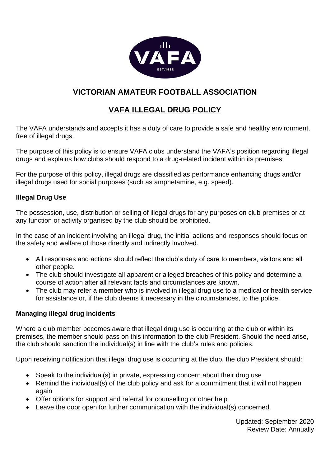

# **VICTORIAN AMATEUR FOOTBALL ASSOCIATION**

# **VAFA ILLEGAL DRUG POLICY**

The VAFA understands and accepts it has a duty of care to provide a safe and healthy environment, free of illegal drugs.

The purpose of this policy is to ensure VAFA clubs understand the VAFA's position regarding illegal drugs and explains how clubs should respond to a drug-related incident within its premises.

For the purpose of this policy, illegal drugs are classified as performance enhancing drugs and/or illegal drugs used for social purposes (such as amphetamine, e.g. speed).

### **Illegal Drug Use**

The possession, use, distribution or selling of illegal drugs for any purposes on club premises or at any function or activity organised by the club should be prohibited.

In the case of an incident involving an illegal drug, the initial actions and responses should focus on the safety and welfare of those directly and indirectly involved.

- All responses and actions should reflect the club's duty of care to members, visitors and all other people.
- The club should investigate all apparent or alleged breaches of this policy and determine a course of action after all relevant facts and circumstances are known.
- The club may refer a member who is involved in illegal drug use to a medical or health service for assistance or, if the club deems it necessary in the circumstances, to the police.

#### **Managing illegal drug incidents**

Where a club member becomes aware that illegal drug use is occurring at the club or within its premises, the member should pass on this information to the club President. Should the need arise, the club should sanction the individual(s) in line with the club's rules and policies.

Upon receiving notification that illegal drug use is occurring at the club, the club President should:

- Speak to the individual(s) in private, expressing concern about their drug use
- Remind the individual(s) of the club policy and ask for a commitment that it will not happen again
- Offer options for support and referral for counselling or other help
- Leave the door open for further communication with the individual(s) concerned.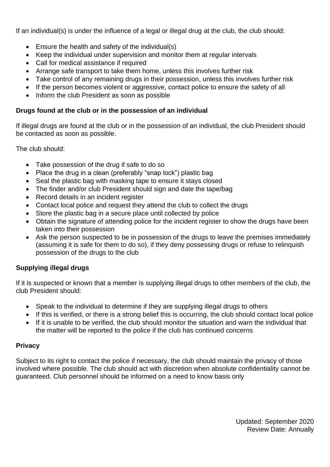If an individual(s) is under the influence of a legal or illegal drug at the club, the club should:

- Ensure the health and safety of the individual(s)
- Keep the individual under supervision and monitor them at regular intervals
- Call for medical assistance if required
- Arrange safe transport to take them home, unless this involves further risk
- Take control of any remaining drugs in their possession, unless this involves further risk
- If the person becomes violent or aggressive, contact police to ensure the safety of all
- Inform the club President as soon as possible

# **Drugs found at the club or in the possession of an individual**

If illegal drugs are found at the club or in the possession of an individual, the club President should be contacted as soon as possible.

The club should:

- Take possession of the drug if safe to do so
- Place the drug in a clean (preferably "snap lock") plastic bag
- Seal the plastic bag with masking tape to ensure it stays closed
- The finder and/or club President should sign and date the tape/bag
- Record details in an incident register
- Contact local police and request they attend the club to collect the drugs
- Store the plastic bag in a secure place until collected by police
- Obtain the signature of attending police for the incident register to show the drugs have been taken into their possession
- Ask the person suspected to be in possession of the drugs to leave the premises immediately (assuming it is safe for them to do so), if they deny possessing drugs or refuse to relinquish possession of the drugs to the club

# **Supplying illegal drugs**

If it is suspected or known that a member is supplying illegal drugs to other members of the club, the club President should:

- Speak to the individual to determine if they are supplying illegal drugs to others
- If this is verified, or there is a strong belief this is occurring, the club should contact local police
- If it is unable to be verified, the club should monitor the situation and warn the individual that the matter will be reported to the police if the club has continued concerns

## **Privacy**

Subject to its right to contact the police if necessary, the club should maintain the privacy of those involved where possible. The club should act with discretion when absolute confidentiality cannot be guaranteed. Club personnel should be informed on a need to know basis only